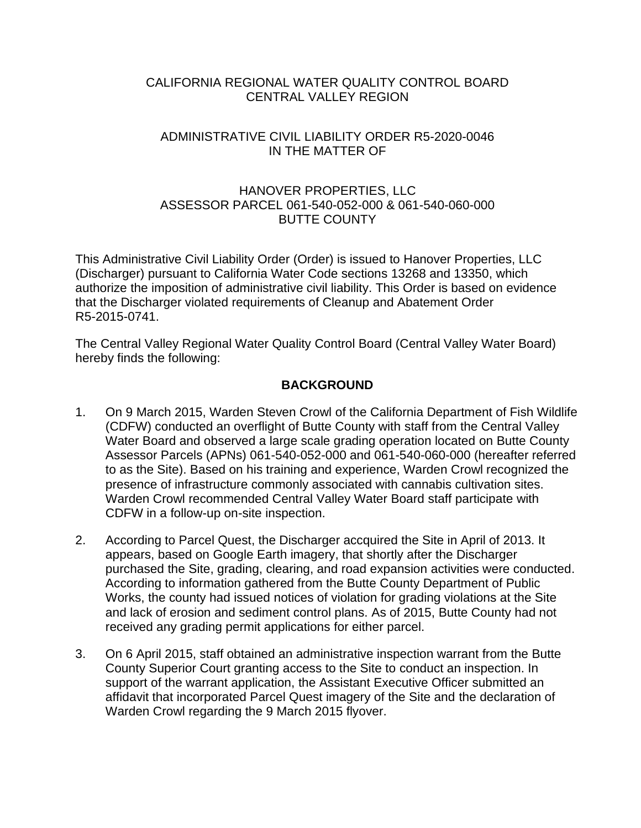# CALIFORNIA REGIONAL WATER QUALITY CONTROL BOARD CENTRAL VALLEY REGION

## ADMINISTRATIVE CIVIL LIABILITY ORDER R5-2020-0046 IN THE MATTER OF

## HANOVER PROPERTIES, LLC ASSESSOR PARCEL 061-540-052-000 & 061-540-060-000 BUTTE COUNTY

This Administrative Civil Liability Order (Order) is issued to Hanover Properties, LLC (Discharger) pursuant to California Water Code sections 13268 and 13350, which authorize the imposition of administrative civil liability. This Order is based on evidence that the Discharger violated requirements of Cleanup and Abatement Order R5-2015-0741.

The Central Valley Regional Water Quality Control Board (Central Valley Water Board) hereby finds the following:

# **BACKGROUND**

- 1. On 9 March 2015, Warden Steven Crowl of the California Department of Fish Wildlife (CDFW) conducted an overflight of Butte County with staff from the Central Valley Water Board and observed a large scale grading operation located on Butte County Assessor Parcels (APNs) 061-540-052-000 and 061-540-060-000 (hereafter referred to as the Site). Based on his training and experience, Warden Crowl recognized the presence of infrastructure commonly associated with cannabis cultivation sites. Warden Crowl recommended Central Valley Water Board staff participate with CDFW in a follow-up on-site inspection.
- 2. According to Parcel Quest, the Discharger accquired the Site in April of 2013. It appears, based on Google Earth imagery, that shortly after the Discharger purchased the Site, grading, clearing, and road expansion activities were conducted. According to information gathered from the Butte County Department of Public Works, the county had issued notices of violation for grading violations at the Site and lack of erosion and sediment control plans. As of 2015, Butte County had not received any grading permit applications for either parcel.
- 3. On 6 April 2015, staff obtained an administrative inspection warrant from the Butte County Superior Court granting access to the Site to conduct an inspection. In support of the warrant application, the Assistant Executive Officer submitted an affidavit that incorporated Parcel Quest imagery of the Site and the declaration of Warden Crowl regarding the 9 March 2015 flyover.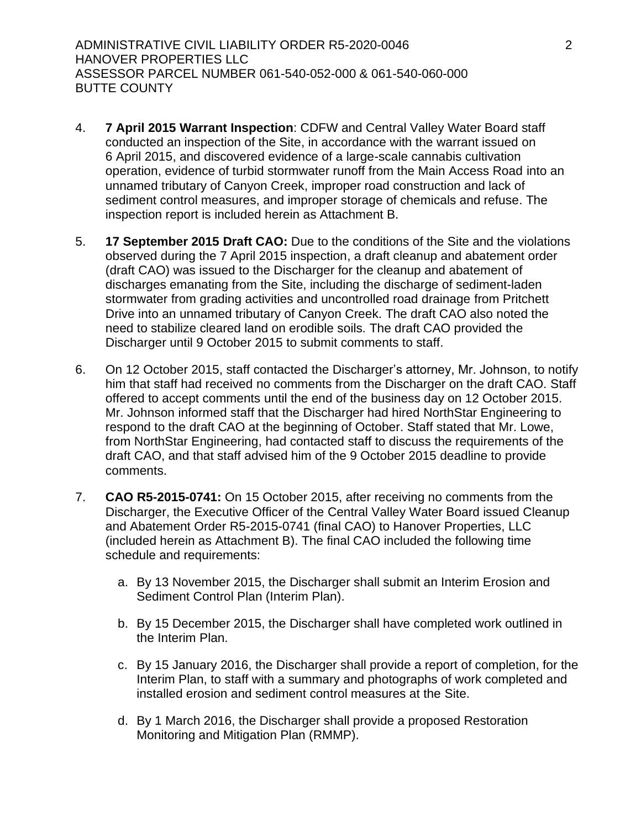ADMINISTRATIVE CIVIL LIABILITY ORDER R5-2020-0046 2 HANOVER PROPERTIES LLC ASSESSOR PARCEL NUMBER 061-540-052-000 & 061-540-060-000 BUTTE COUNTY

- 4. **7 April 2015 Warrant Inspection**: CDFW and Central Valley Water Board staff conducted an inspection of the Site, in accordance with the warrant issued on 6 April 2015, and discovered evidence of a large-scale cannabis cultivation operation, evidence of turbid stormwater runoff from the Main Access Road into an unnamed tributary of Canyon Creek, improper road construction and lack of sediment control measures, and improper storage of chemicals and refuse. The inspection report is included herein as Attachment B.
- 5. **17 September 2015 Draft CAO:** Due to the conditions of the Site and the violations observed during the 7 April 2015 inspection, a draft cleanup and abatement order (draft CAO) was issued to the Discharger for the cleanup and abatement of discharges emanating from the Site, including the discharge of sediment-laden stormwater from grading activities and uncontrolled road drainage from Pritchett Drive into an unnamed tributary of Canyon Creek. The draft CAO also noted the need to stabilize cleared land on erodible soils. The draft CAO provided the Discharger until 9 October 2015 to submit comments to staff.
- 6. On 12 October 2015, staff contacted the Discharger's attorney, Mr. Johnson, to notify him that staff had received no comments from the Discharger on the draft CAO. Staff offered to accept comments until the end of the business day on 12 October 2015. Mr. Johnson informed staff that the Discharger had hired NorthStar Engineering to respond to the draft CAO at the beginning of October. Staff stated that Mr. Lowe, from NorthStar Engineering, had contacted staff to discuss the requirements of the draft CAO, and that staff advised him of the 9 October 2015 deadline to provide comments.
- 7. **CAO R5-2015-0741:** On 15 October 2015, after receiving no comments from the Discharger, the Executive Officer of the Central Valley Water Board issued Cleanup and Abatement Order R5-2015-0741 (final CAO) to Hanover Properties, LLC (included herein as Attachment B). The final CAO included the following time schedule and requirements:
	- a. By 13 November 2015, the Discharger shall submit an Interim Erosion and Sediment Control Plan (Interim Plan).
	- b. By 15 December 2015, the Discharger shall have completed work outlined in the Interim Plan.
	- c. By 15 January 2016, the Discharger shall provide a report of completion, for the Interim Plan, to staff with a summary and photographs of work completed and installed erosion and sediment control measures at the Site.
	- d. By 1 March 2016, the Discharger shall provide a proposed Restoration Monitoring and Mitigation Plan (RMMP).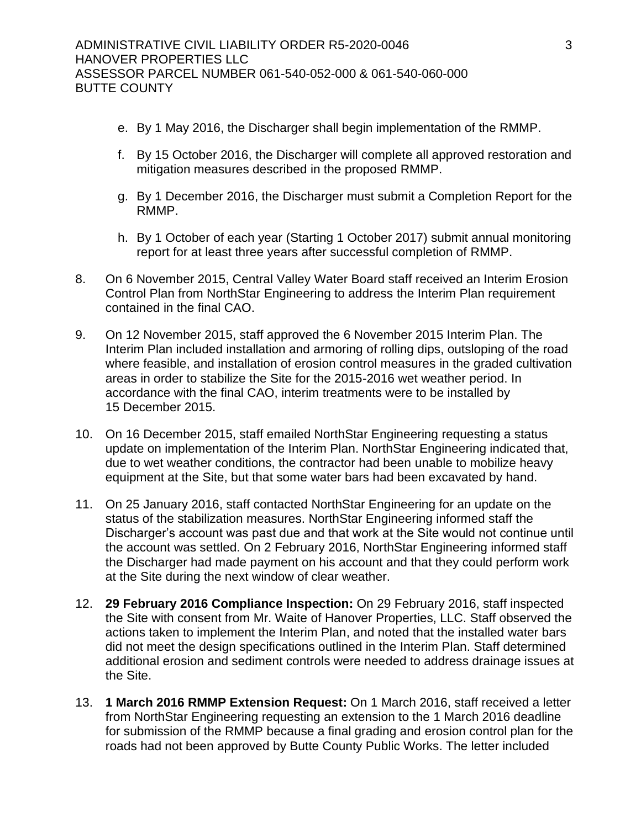- e. By 1 May 2016, the Discharger shall begin implementation of the RMMP.
- f. By 15 October 2016, the Discharger will complete all approved restoration and mitigation measures described in the proposed RMMP.
- g. By 1 December 2016, the Discharger must submit a Completion Report for the RMMP.
- h. By 1 October of each year (Starting 1 October 2017) submit annual monitoring report for at least three years after successful completion of RMMP.
- 8. On 6 November 2015, Central Valley Water Board staff received an Interim Erosion Control Plan from NorthStar Engineering to address the Interim Plan requirement contained in the final CAO.
- 9. On 12 November 2015, staff approved the 6 November 2015 Interim Plan. The Interim Plan included installation and armoring of rolling dips, outsloping of the road where feasible, and installation of erosion control measures in the graded cultivation areas in order to stabilize the Site for the 2015-2016 wet weather period. In accordance with the final CAO, interim treatments were to be installed by 15 December 2015.
- 10. On 16 December 2015, staff emailed NorthStar Engineering requesting a status update on implementation of the Interim Plan. NorthStar Engineering indicated that, due to wet weather conditions, the contractor had been unable to mobilize heavy equipment at the Site, but that some water bars had been excavated by hand.
- 11. On 25 January 2016, staff contacted NorthStar Engineering for an update on the status of the stabilization measures. NorthStar Engineering informed staff the Discharger's account was past due and that work at the Site would not continue until the account was settled. On 2 February 2016, NorthStar Engineering informed staff the Discharger had made payment on his account and that they could perform work at the Site during the next window of clear weather.
- 12. **29 February 2016 Compliance Inspection:** On 29 February 2016, staff inspected the Site with consent from Mr. Waite of Hanover Properties, LLC. Staff observed the actions taken to implement the Interim Plan, and noted that the installed water bars did not meet the design specifications outlined in the Interim Plan. Staff determined additional erosion and sediment controls were needed to address drainage issues at the Site.
- 13. **1 March 2016 RMMP Extension Request:** On 1 March 2016, staff received a letter from NorthStar Engineering requesting an extension to the 1 March 2016 deadline for submission of the RMMP because a final grading and erosion control plan for the roads had not been approved by Butte County Public Works. The letter included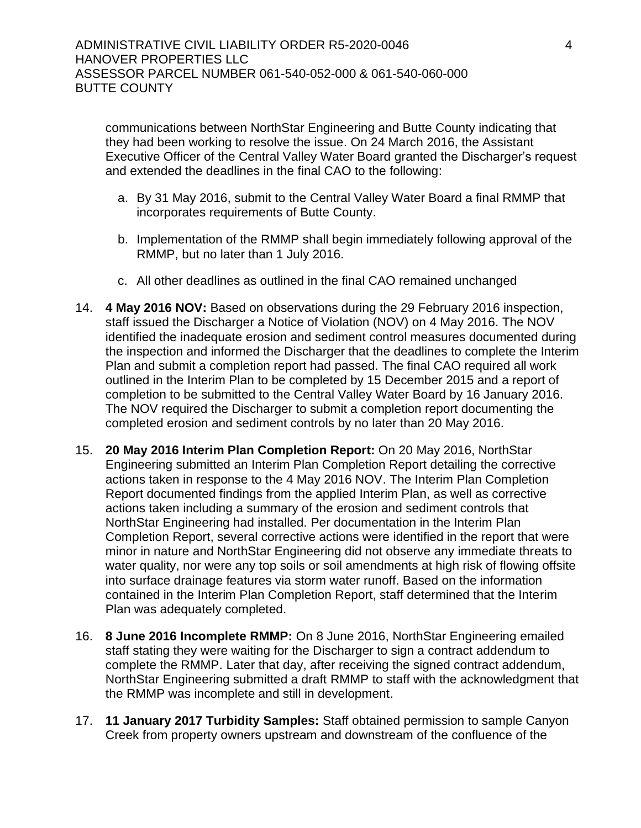communications between NorthStar Engineering and Butte County indicating that they had been working to resolve the issue. On 24 March 2016, the Assistant Executive Officer of the Central Valley Water Board granted the Discharger's request and extended the deadlines in the final CAO to the following:

- a. By 31 May 2016, submit to the Central Valley Water Board a final RMMP that incorporates requirements of Butte County.
- b. Implementation of the RMMP shall begin immediately following approval of the RMMP, but no later than 1 July 2016.
- c. All other deadlines as outlined in the final CAO remained unchanged
- 14. **4 May 2016 NOV:** Based on observations during the 29 February 2016 inspection, staff issued the Discharger a Notice of Violation (NOV) on 4 May 2016. The NOV identified the inadequate erosion and sediment control measures documented during the inspection and informed the Discharger that the deadlines to complete the Interim Plan and submit a completion report had passed. The final CAO required all work outlined in the Interim Plan to be completed by 15 December 2015 and a report of completion to be submitted to the Central Valley Water Board by 16 January 2016. The NOV required the Discharger to submit a completion report documenting the completed erosion and sediment controls by no later than 20 May 2016.
- 15. **20 May 2016 Interim Plan Completion Report:** On 20 May 2016, NorthStar Engineering submitted an Interim Plan Completion Report detailing the corrective actions taken in response to the 4 May 2016 NOV. The Interim Plan Completion Report documented findings from the applied Interim Plan, as well as corrective actions taken including a summary of the erosion and sediment controls that NorthStar Engineering had installed. Per documentation in the Interim Plan Completion Report, several corrective actions were identified in the report that were minor in nature and NorthStar Engineering did not observe any immediate threats to water quality, nor were any top soils or soil amendments at high risk of flowing offsite into surface drainage features via storm water runoff. Based on the information contained in the Interim Plan Completion Report, staff determined that the Interim Plan was adequately completed.
- 16. **8 June 2016 Incomplete RMMP:** On 8 June 2016, NorthStar Engineering emailed staff stating they were waiting for the Discharger to sign a contract addendum to complete the RMMP. Later that day, after receiving the signed contract addendum, NorthStar Engineering submitted a draft RMMP to staff with the acknowledgment that the RMMP was incomplete and still in development.
- 17. **11 January 2017 Turbidity Samples:** Staff obtained permission to sample Canyon Creek from property owners upstream and downstream of the confluence of the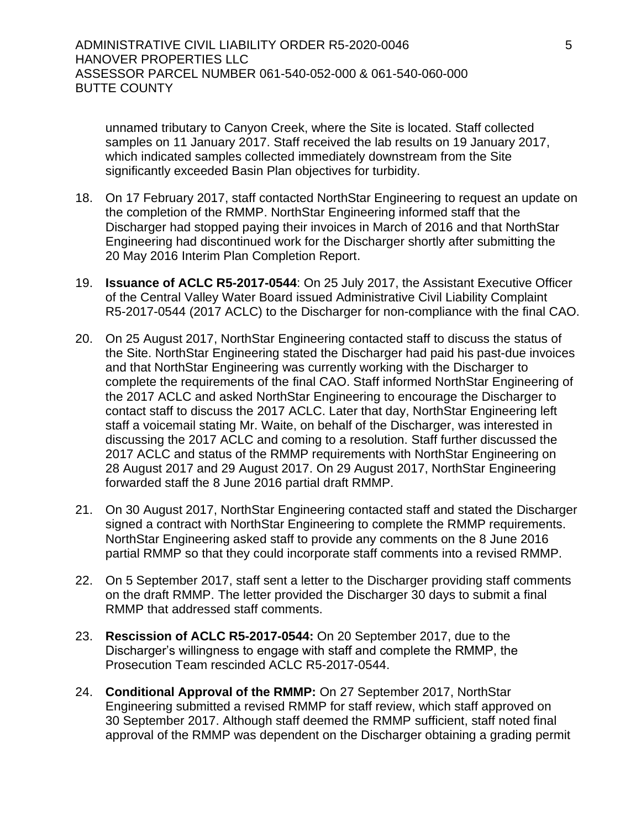unnamed tributary to Canyon Creek, where the Site is located. Staff collected samples on 11 January 2017. Staff received the lab results on 19 January 2017, which indicated samples collected immediately downstream from the Site significantly exceeded Basin Plan objectives for turbidity.

- 18. On 17 February 2017, staff contacted NorthStar Engineering to request an update on the completion of the RMMP. NorthStar Engineering informed staff that the Discharger had stopped paying their invoices in March of 2016 and that NorthStar Engineering had discontinued work for the Discharger shortly after submitting the 20 May 2016 Interim Plan Completion Report.
- 19. **Issuance of ACLC R5-2017-0544**: On 25 July 2017, the Assistant Executive Officer of the Central Valley Water Board issued Administrative Civil Liability Complaint R5-2017-0544 (2017 ACLC) to the Discharger for non-compliance with the final CAO.
- 20. On 25 August 2017, NorthStar Engineering contacted staff to discuss the status of the Site. NorthStar Engineering stated the Discharger had paid his past-due invoices and that NorthStar Engineering was currently working with the Discharger to complete the requirements of the final CAO. Staff informed NorthStar Engineering of the 2017 ACLC and asked NorthStar Engineering to encourage the Discharger to contact staff to discuss the 2017 ACLC. Later that day, NorthStar Engineering left staff a voicemail stating Mr. Waite, on behalf of the Discharger, was interested in discussing the 2017 ACLC and coming to a resolution. Staff further discussed the 2017 ACLC and status of the RMMP requirements with NorthStar Engineering on 28 August 2017 and 29 August 2017. On 29 August 2017, NorthStar Engineering forwarded staff the 8 June 2016 partial draft RMMP.
- 21. On 30 August 2017, NorthStar Engineering contacted staff and stated the Discharger signed a contract with NorthStar Engineering to complete the RMMP requirements. NorthStar Engineering asked staff to provide any comments on the 8 June 2016 partial RMMP so that they could incorporate staff comments into a revised RMMP.
- 22. On 5 September 2017, staff sent a letter to the Discharger providing staff comments on the draft RMMP. The letter provided the Discharger 30 days to submit a final RMMP that addressed staff comments.
- 23. **Rescission of ACLC R5-2017-0544:** On 20 September 2017, due to the Discharger's willingness to engage with staff and complete the RMMP, the Prosecution Team rescinded ACLC R5-2017-0544.
- 24. **Conditional Approval of the RMMP:** On 27 September 2017, NorthStar Engineering submitted a revised RMMP for staff review, which staff approved on 30 September 2017. Although staff deemed the RMMP sufficient, staff noted final approval of the RMMP was dependent on the Discharger obtaining a grading permit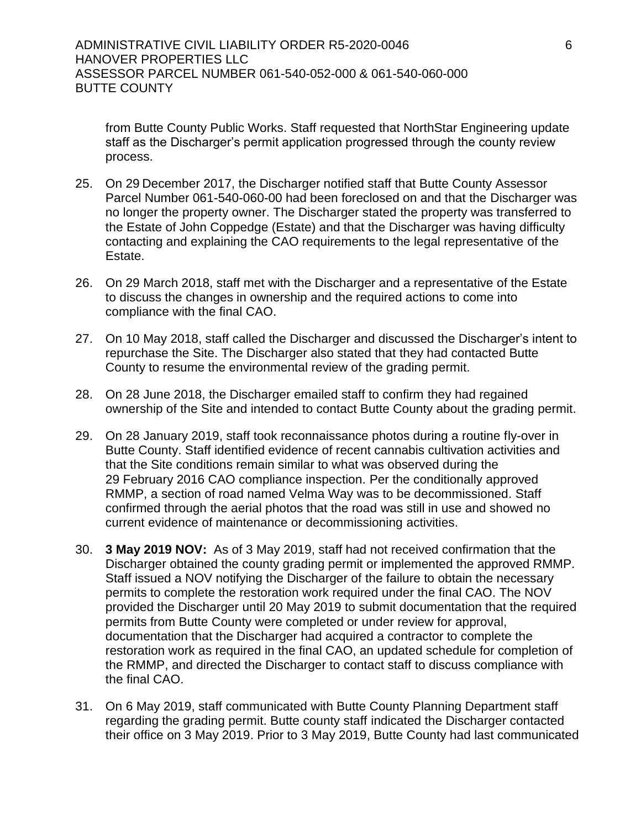from Butte County Public Works. Staff requested that NorthStar Engineering update staff as the Discharger's permit application progressed through the county review process.

- 25. On 29 December 2017, the Discharger notified staff that Butte County Assessor Parcel Number 061-540-060-00 had been foreclosed on and that the Discharger was no longer the property owner. The Discharger stated the property was transferred to the Estate of John Coppedge (Estate) and that the Discharger was having difficulty contacting and explaining the CAO requirements to the legal representative of the Estate.
- 26. On 29 March 2018, staff met with the Discharger and a representative of the Estate to discuss the changes in ownership and the required actions to come into compliance with the final CAO.
- 27. On 10 May 2018, staff called the Discharger and discussed the Discharger's intent to repurchase the Site. The Discharger also stated that they had contacted Butte County to resume the environmental review of the grading permit.
- 28. On 28 June 2018, the Discharger emailed staff to confirm they had regained ownership of the Site and intended to contact Butte County about the grading permit.
- 29. On 28 January 2019, staff took reconnaissance photos during a routine fly-over in Butte County. Staff identified evidence of recent cannabis cultivation activities and that the Site conditions remain similar to what was observed during the 29 February 2016 CAO compliance inspection. Per the conditionally approved RMMP, a section of road named Velma Way was to be decommissioned. Staff confirmed through the aerial photos that the road was still in use and showed no current evidence of maintenance or decommissioning activities.
- 30. **3 May 2019 NOV:** As of 3 May 2019, staff had not received confirmation that the Discharger obtained the county grading permit or implemented the approved RMMP. Staff issued a NOV notifying the Discharger of the failure to obtain the necessary permits to complete the restoration work required under the final CAO. The NOV provided the Discharger until 20 May 2019 to submit documentation that the required permits from Butte County were completed or under review for approval, documentation that the Discharger had acquired a contractor to complete the restoration work as required in the final CAO, an updated schedule for completion of the RMMP, and directed the Discharger to contact staff to discuss compliance with the final CAO.
- 31. On 6 May 2019, staff communicated with Butte County Planning Department staff regarding the grading permit. Butte county staff indicated the Discharger contacted their office on 3 May 2019. Prior to 3 May 2019, Butte County had last communicated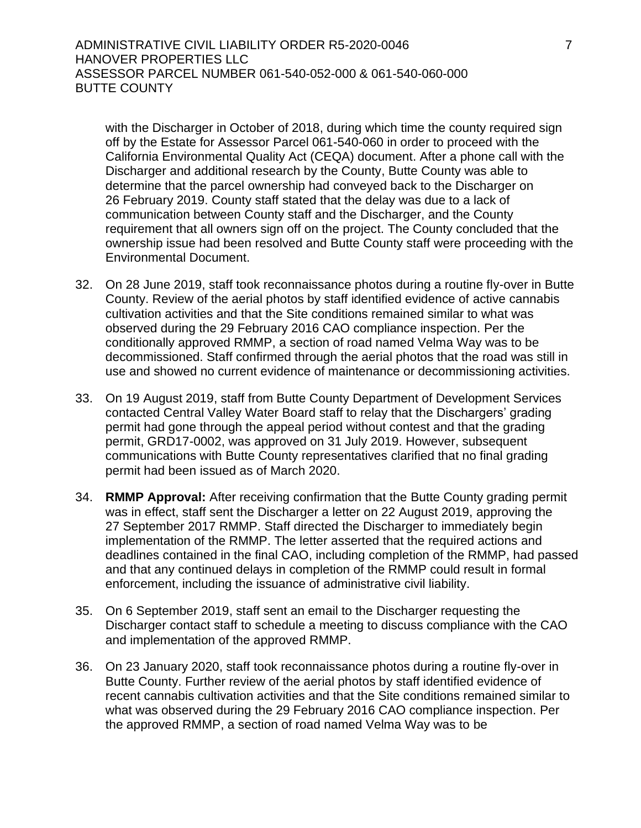ADMINISTRATIVE CIVIL LIABILITY ORDER R5-2020-0046 7 HANOVER PROPERTIES LLC ASSESSOR PARCEL NUMBER 061-540-052-000 & 061-540-060-000 BUTTE COUNTY

with the Discharger in October of 2018, during which time the county required sign off by the Estate for Assessor Parcel 061-540-060 in order to proceed with the California Environmental Quality Act (CEQA) document. After a phone call with the Discharger and additional research by the County, Butte County was able to determine that the parcel ownership had conveyed back to the Discharger on 26 February 2019. County staff stated that the delay was due to a lack of communication between County staff and the Discharger, and the County requirement that all owners sign off on the project. The County concluded that the ownership issue had been resolved and Butte County staff were proceeding with the Environmental Document.

- 32. On 28 June 2019, staff took reconnaissance photos during a routine fly-over in Butte County. Review of the aerial photos by staff identified evidence of active cannabis cultivation activities and that the Site conditions remained similar to what was observed during the 29 February 2016 CAO compliance inspection. Per the conditionally approved RMMP, a section of road named Velma Way was to be decommissioned. Staff confirmed through the aerial photos that the road was still in use and showed no current evidence of maintenance or decommissioning activities.
- 33. On 19 August 2019, staff from Butte County Department of Development Services contacted Central Valley Water Board staff to relay that the Dischargers' grading permit had gone through the appeal period without contest and that the grading permit, GRD17-0002, was approved on 31 July 2019. However, subsequent communications with Butte County representatives clarified that no final grading permit had been issued as of March 2020.
- 34. **RMMP Approval:** After receiving confirmation that the Butte County grading permit was in effect, staff sent the Discharger a letter on 22 August 2019, approving the 27 September 2017 RMMP. Staff directed the Discharger to immediately begin implementation of the RMMP. The letter asserted that the required actions and deadlines contained in the final CAO, including completion of the RMMP, had passed and that any continued delays in completion of the RMMP could result in formal enforcement, including the issuance of administrative civil liability.
- 35. On 6 September 2019, staff sent an email to the Discharger requesting the Discharger contact staff to schedule a meeting to discuss compliance with the CAO and implementation of the approved RMMP.
- 36. On 23 January 2020, staff took reconnaissance photos during a routine fly-over in Butte County. Further review of the aerial photos by staff identified evidence of recent cannabis cultivation activities and that the Site conditions remained similar to what was observed during the 29 February 2016 CAO compliance inspection. Per the approved RMMP, a section of road named Velma Way was to be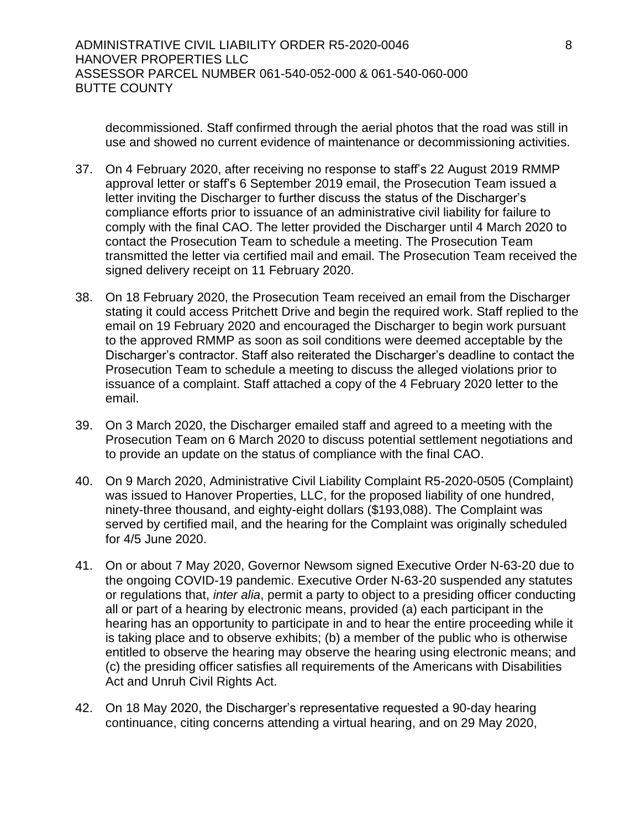decommissioned. Staff confirmed through the aerial photos that the road was still in use and showed no current evidence of maintenance or decommissioning activities.

- 37. On 4 February 2020, after receiving no response to staff's 22 August 2019 RMMP approval letter or staff's 6 September 2019 email, the Prosecution Team issued a letter inviting the Discharger to further discuss the status of the Discharger's compliance efforts prior to issuance of an administrative civil liability for failure to comply with the final CAO. The letter provided the Discharger until 4 March 2020 to contact the Prosecution Team to schedule a meeting. The Prosecution Team transmitted the letter via certified mail and email. The Prosecution Team received the signed delivery receipt on 11 February 2020.
- 38. On 18 February 2020, the Prosecution Team received an email from the Discharger stating it could access Pritchett Drive and begin the required work. Staff replied to the email on 19 February 2020 and encouraged the Discharger to begin work pursuant to the approved RMMP as soon as soil conditions were deemed acceptable by the Discharger's contractor. Staff also reiterated the Discharger's deadline to contact the Prosecution Team to schedule a meeting to discuss the alleged violations prior to issuance of a complaint. Staff attached a copy of the 4 February 2020 letter to the email.
- 39. On 3 March 2020, the Discharger emailed staff and agreed to a meeting with the Prosecution Team on 6 March 2020 to discuss potential settlement negotiations and to provide an update on the status of compliance with the final CAO.
- 40. On 9 March 2020, Administrative Civil Liability Complaint R5-2020-0505 (Complaint) was issued to Hanover Properties, LLC, for the proposed liability of one hundred, ninety-three thousand, and eighty-eight dollars (\$193,088). The Complaint was served by certified mail, and the hearing for the Complaint was originally scheduled for 4/5 June 2020.
- 41. On or about 7 May 2020, Governor Newsom signed Executive Order N-63-20 due to the ongoing COVID-19 pandemic. Executive Order N-63-20 suspended any statutes or regulations that, *inter alia*, permit a party to object to a presiding officer conducting all or part of a hearing by electronic means, provided (a) each participant in the hearing has an opportunity to participate in and to hear the entire proceeding while it is taking place and to observe exhibits; (b) a member of the public who is otherwise entitled to observe the hearing may observe the hearing using electronic means; and (c) the presiding officer satisfies all requirements of the Americans with Disabilities Act and Unruh Civil Rights Act.
- 42. On 18 May 2020, the Discharger's representative requested a 90-day hearing continuance, citing concerns attending a virtual hearing, and on 29 May 2020,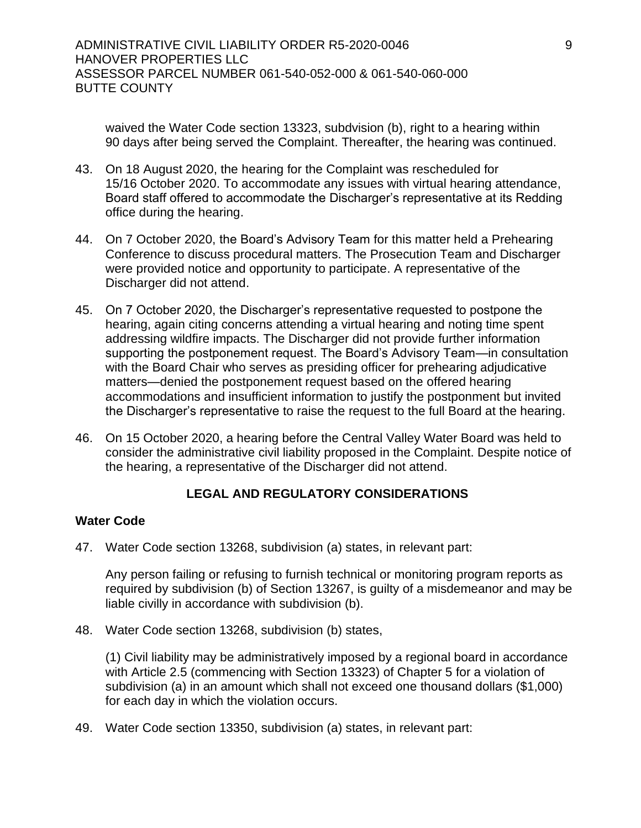waived the Water Code section 13323, subdvision (b), right to a hearing within 90 days after being served the Complaint. Thereafter, the hearing was continued.

- 43. On 18 August 2020, the hearing for the Complaint was rescheduled for 15/16 October 2020. To accommodate any issues with virtual hearing attendance, Board staff offered to accommodate the Discharger's representative at its Redding office during the hearing.
- 44. On 7 October 2020, the Board's Advisory Team for this matter held a Prehearing Conference to discuss procedural matters. The Prosecution Team and Discharger were provided notice and opportunity to participate. A representative of the Discharger did not attend.
- 45. On 7 October 2020, the Discharger's representative requested to postpone the hearing, again citing concerns attending a virtual hearing and noting time spent addressing wildfire impacts. The Discharger did not provide further information supporting the postponement request. The Board's Advisory Team—in consultation with the Board Chair who serves as presiding officer for prehearing adjudicative matters—denied the postponement request based on the offered hearing accommodations and insufficient information to justify the postponment but invited the Discharger's representative to raise the request to the full Board at the hearing.
- 46. On 15 October 2020, a hearing before the Central Valley Water Board was held to consider the administrative civil liability proposed in the Complaint. Despite notice of the hearing, a representative of the Discharger did not attend.

# **LEGAL AND REGULATORY CONSIDERATIONS**

## **Water Code**

47. Water Code section 13268, subdivision (a) states, in relevant part:

Any person failing or refusing to furnish technical or monitoring program reports as required by subdivision (b) of Section 13267, is guilty of a misdemeanor and may be liable civilly in accordance with subdivision (b).

48. Water Code section 13268, subdivision (b) states,

(1) Civil liability may be administratively imposed by a regional board in accordance with Article 2.5 (commencing with Section 13323) of Chapter 5 for a violation of subdivision (a) in an amount which shall not exceed one thousand dollars (\$1,000) for each day in which the violation occurs.

49. Water Code section 13350, subdivision (a) states, in relevant part: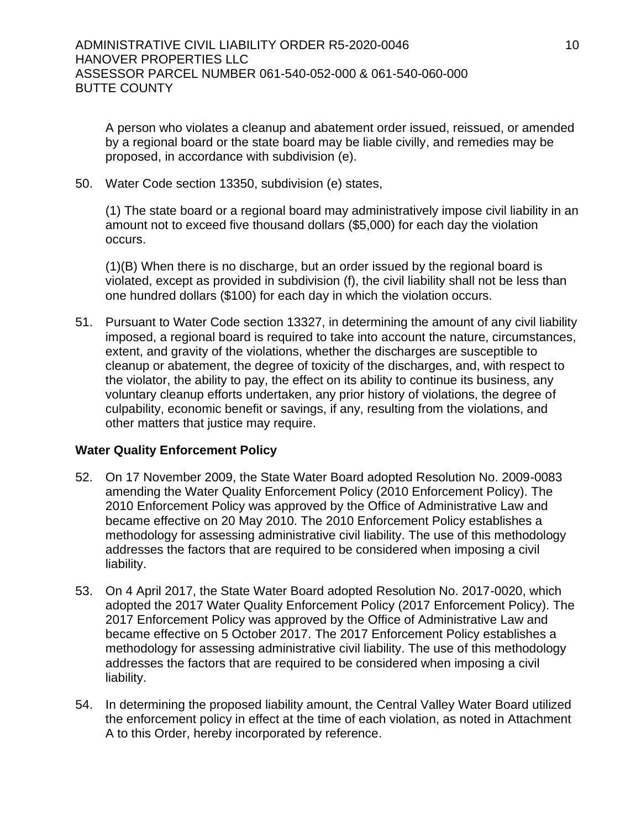A person who violates a cleanup and abatement order issued, reissued, or amended by a regional board or the state board may be liable civilly, and remedies may be proposed, in accordance with subdivision (e).

50. Water Code section 13350, subdivision (e) states,

(1) The state board or a regional board may administratively impose civil liability in an amount not to exceed five thousand dollars (\$5,000) for each day the violation occurs.

(1)(B) When there is no discharge, but an order issued by the regional board is violated, except as provided in subdivision (f), the civil liability shall not be less than one hundred dollars (\$100) for each day in which the violation occurs.

51. Pursuant to Water Code section 13327, in determining the amount of any civil liability imposed, a regional board is required to take into account the nature, circumstances, extent, and gravity of the violations, whether the discharges are susceptible to cleanup or abatement, the degree of toxicity of the discharges, and, with respect to the violator, the ability to pay, the effect on its ability to continue its business, any voluntary cleanup efforts undertaken, any prior history of violations, the degree of culpability, economic benefit or savings, if any, resulting from the violations, and other matters that justice may require.

## **Water Quality Enforcement Policy**

- 52. On 17 November 2009, the State Water Board adopted Resolution No. 2009-0083 amending the Water Quality Enforcement Policy (2010 Enforcement Policy). The 2010 Enforcement Policy was approved by the Office of Administrative Law and became effective on 20 May 2010. The 2010 Enforcement Policy establishes a methodology for assessing administrative civil liability. The use of this methodology addresses the factors that are required to be considered when imposing a civil liability.
- 53. On 4 April 2017, the State Water Board adopted Resolution No. 2017-0020, which adopted the 2017 Water Quality Enforcement Policy (2017 Enforcement Policy). The 2017 Enforcement Policy was approved by the Office of Administrative Law and became effective on 5 October 2017. The 2017 Enforcement Policy establishes a methodology for assessing administrative civil liability. The use of this methodology addresses the factors that are required to be considered when imposing a civil liability.
- 54. In determining the proposed liability amount, the Central Valley Water Board utilized the enforcement policy in effect at the time of each violation, as noted in Attachment A to this Order, hereby incorporated by reference.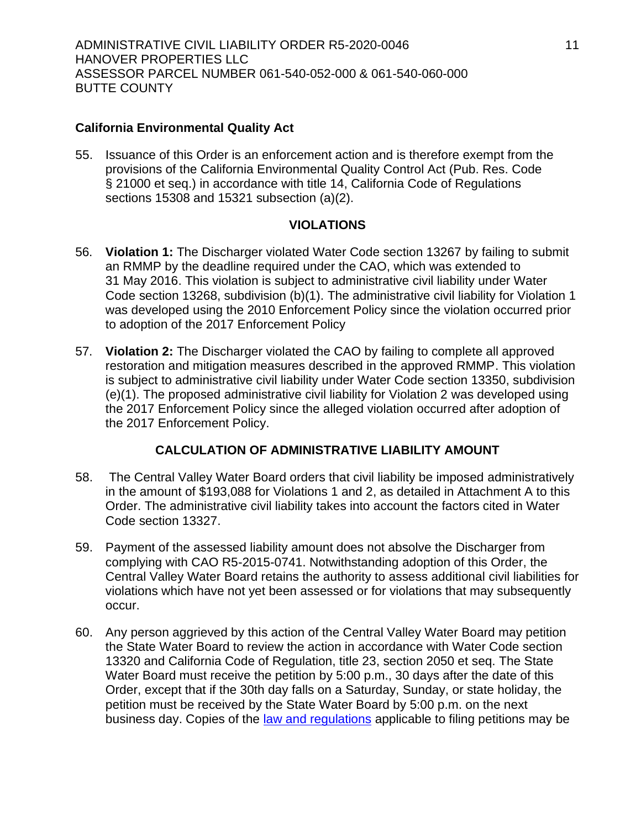# **California Environmental Quality Act**

55. Issuance of this Order is an enforcement action and is therefore exempt from the provisions of the California Environmental Quality Control Act (Pub. Res. Code § 21000 et seq.) in accordance with title 14, California Code of Regulations sections 15308 and 15321 subsection (a)(2).

## **VIOLATIONS**

- 56. **Violation 1:** The Discharger violated Water Code section 13267 by failing to submit an RMMP by the deadline required under the CAO, which was extended to 31 May 2016. This violation is subject to administrative civil liability under Water Code section 13268, subdivision (b)(1). The administrative civil liability for Violation 1 was developed using the 2010 Enforcement Policy since the violation occurred prior to adoption of the 2017 Enforcement Policy
- 57. **Violation 2:** The Discharger violated the CAO by failing to complete all approved restoration and mitigation measures described in the approved RMMP. This violation is subject to administrative civil liability under Water Code section 13350, subdivision (e)(1). The proposed administrative civil liability for Violation 2 was developed using the 2017 Enforcement Policy since the alleged violation occurred after adoption of the 2017 Enforcement Policy.

# **CALCULATION OF ADMINISTRATIVE LIABILITY AMOUNT**

- 58. The Central Valley Water Board orders that civil liability be imposed administratively in the amount of \$193,088 for Violations 1 and 2, as detailed in Attachment A to this Order. The administrative civil liability takes into account the factors cited in Water Code section 13327.
- 59. Payment of the assessed liability amount does not absolve the Discharger from complying with CAO R5-2015-0741. Notwithstanding adoption of this Order, the Central Valley Water Board retains the authority to assess additional civil liabilities for violations which have not yet been assessed or for violations that may subsequently occur.
- 60. Any person aggrieved by this action of the Central Valley Water Board may petition the State Water Board to review the action in accordance with Water Code section 13320 and California Code of Regulation, title 23, section 2050 et seq. The State Water Board must receive the petition by 5:00 p.m., 30 days after the date of this Order, except that if the 30th day falls on a Saturday, Sunday, or state holiday, the petition must be received by the State Water Board by 5:00 p.m. on the next business day. Copies of the [law and regulations](http://www.waterboards.ca.gov/public_notices/petitions/water_quality) applicable to filing petitions may be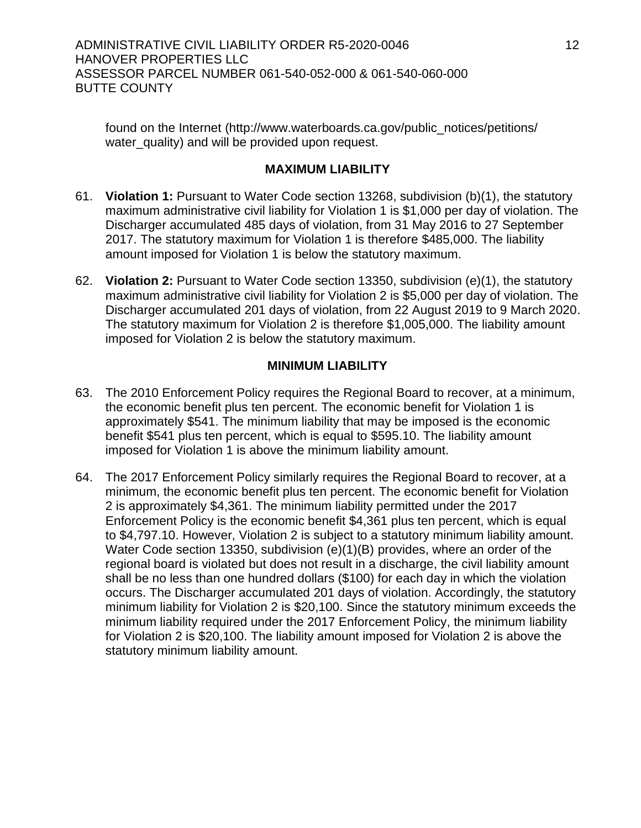ADMINISTRATIVE CIVIL LIABILITY ORDER R5-2020-0046 12 HANOVER PROPERTIES LLC ASSESSOR PARCEL NUMBER 061-540-052-000 & 061-540-060-000 BUTTE COUNTY

found on the Internet (http://www.waterboards.ca.gov/public\_notices/petitions/ water\_quality) and will be provided upon request.

# **MAXIMUM LIABILITY**

- 61. **Violation 1:** Pursuant to Water Code section 13268, subdivision (b)(1), the statutory maximum administrative civil liability for Violation 1 is \$1,000 per day of violation. The Discharger accumulated 485 days of violation, from 31 May 2016 to 27 September 2017. The statutory maximum for Violation 1 is therefore \$485,000. The liability amount imposed for Violation 1 is below the statutory maximum.
- 62. **Violation 2:** Pursuant to Water Code section 13350, subdivision (e)(1), the statutory maximum administrative civil liability for Violation 2 is \$5,000 per day of violation. The Discharger accumulated 201 days of violation, from 22 August 2019 to 9 March 2020. The statutory maximum for Violation 2 is therefore \$1,005,000. The liability amount imposed for Violation 2 is below the statutory maximum.

#### **MINIMUM LIABILITY**

- 63. The 2010 Enforcement Policy requires the Regional Board to recover, at a minimum, the economic benefit plus ten percent. The economic benefit for Violation 1 is approximately \$541. The minimum liability that may be imposed is the economic benefit \$541 plus ten percent, which is equal to \$595.10. The liability amount imposed for Violation 1 is above the minimum liability amount.
- 64. The 2017 Enforcement Policy similarly requires the Regional Board to recover, at a minimum, the economic benefit plus ten percent. The economic benefit for Violation 2 is approximately \$4,361. The minimum liability permitted under the 2017 Enforcement Policy is the economic benefit \$4,361 plus ten percent, which is equal to \$4,797.10. However, Violation 2 is subject to a statutory minimum liability amount. Water Code section 13350, subdivision (e)(1)(B) provides, where an order of the regional board is violated but does not result in a discharge, the civil liability amount shall be no less than one hundred dollars (\$100) for each day in which the violation occurs. The Discharger accumulated 201 days of violation. Accordingly, the statutory minimum liability for Violation 2 is \$20,100. Since the statutory minimum exceeds the minimum liability required under the 2017 Enforcement Policy, the minimum liability for Violation 2 is \$20,100. The liability amount imposed for Violation 2 is above the statutory minimum liability amount.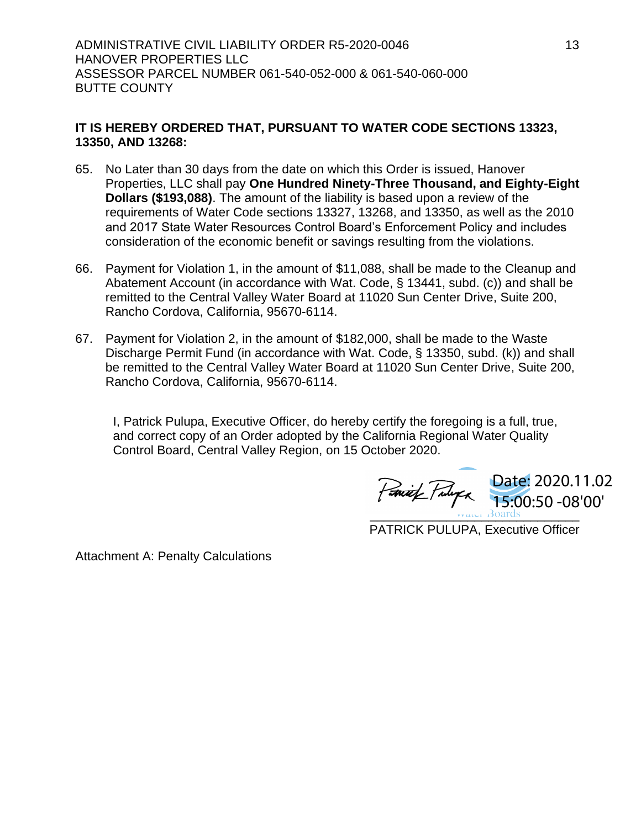# **IT IS HEREBY ORDERED THAT, PURSUANT TO WATER CODE SECTIONS 13323, 13350, AND 13268:**

- 65. No Later than 30 days from the date on which this Order is issued, Hanover Properties, LLC shall pay **One Hundred Ninety-Three Thousand, and Eighty-Eight Dollars (\$193,088)**. The amount of the liability is based upon a review of the requirements of Water Code sections 13327, 13268, and 13350, as well as the 2010 and 2017 State Water Resources Control Board's Enforcement Policy and includes consideration of the economic benefit or savings resulting from the violations.
- 66. Payment for Violation 1, in the amount of \$11,088, shall be made to the Cleanup and Abatement Account (in accordance with Wat. Code, § 13441, subd. (c)) and shall be remitted to the Central Valley Water Board at 11020 Sun Center Drive, Suite 200, Rancho Cordova, California, 95670-6114.
- 67. Payment for Violation 2, in the amount of \$182,000, shall be made to the Waste Discharge Permit Fund (in accordance with Wat. Code, § 13350, subd. (k)) and shall be remitted to the Central Valley Water Board at 11020 Sun Center Drive, Suite 200, Rancho Cordova, California, 95670-6114.

I, Patrick Pulupa, Executive Officer, do hereby certify the foregoing is a full, true, and correct copy of an Order adopted by the California Regional Water Quality Control Board, Central Valley Region, on 15 October 2020.

 $\frac{1}{2}$   $\frac{1}{2}$   $\frac{1}{2}$   $\frac{1}{2}$   $\frac{1}{2}$   $\frac{1}{2}$   $\frac{1}{2}$   $\frac{1}{2}$   $\frac{1}{2}$   $\frac{1}{2}$   $\frac{1}{2}$   $\frac{1}{2}$   $\frac{1}{2}$   $\frac{1}{2}$   $\frac{1}{2}$   $\frac{1}{2}$   $\frac{1}{2}$   $\frac{1}{2}$   $\frac{1}{2}$   $\frac{1}{2}$   $\frac{1}{2}$   $\frac{1}{2}$  Date: 2020.11.02 15:00:50 -08'00'

PATRICK PULUPA, Executive Officer

Attachment A: Penalty Calculations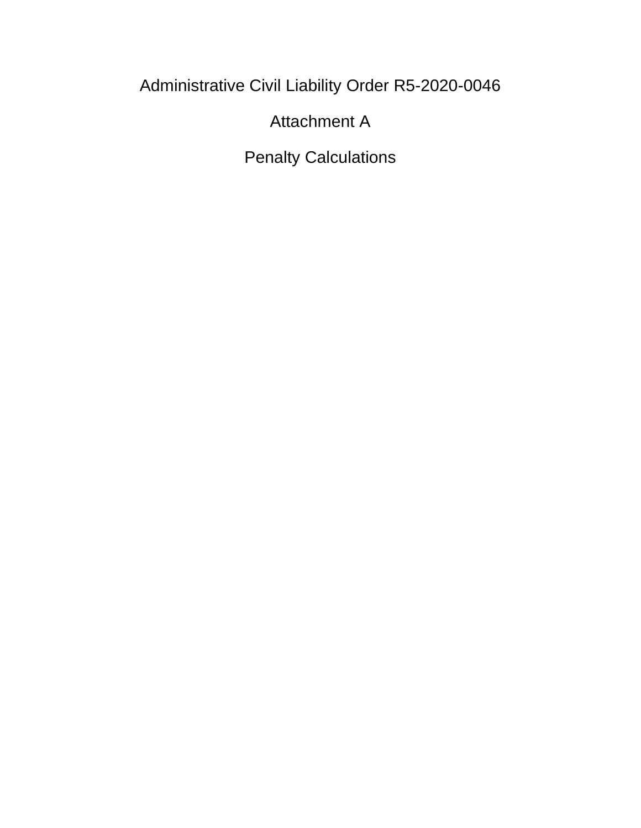Administrative Civil Liability Order R5-2020-0046

Attachment A

Penalty Calculations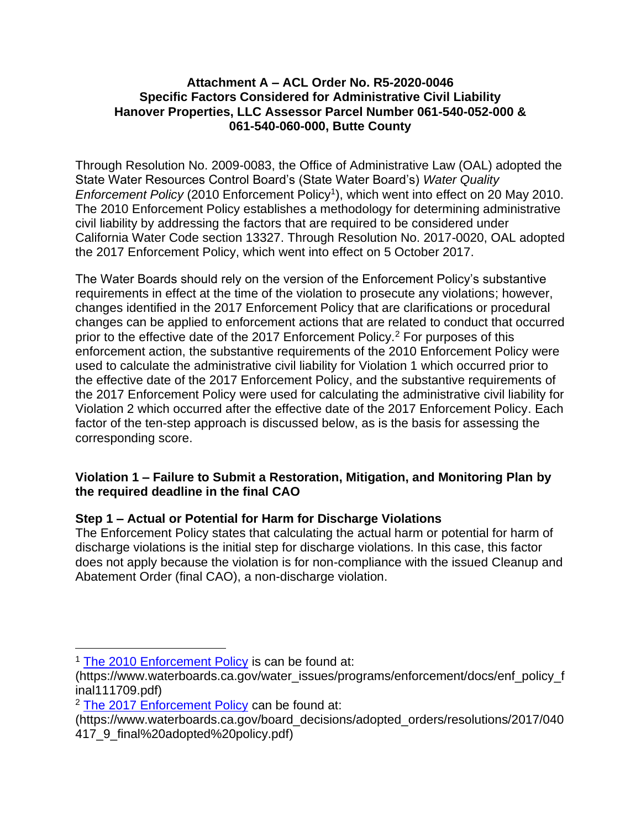## **Attachment A – ACL Order No. R5-2020-0046 Specific Factors Considered for Administrative Civil Liability Hanover Properties, LLC Assessor Parcel Number 061-540-052-000 & 061-540-060-000, Butte County**

Through Resolution No. 2009-0083, the Office of Administrative Law (OAL) adopted the State Water Resources Control Board's (State Water Board's) *Water Quality*  Enforcement Policy (2010 Enforcement Policy<sup>1</sup>), which went into effect on 20 May 2010. The 2010 Enforcement Policy establishes a methodology for determining administrative civil liability by addressing the factors that are required to be considered under California Water Code section 13327. Through Resolution No. 2017-0020, OAL adopted the 2017 Enforcement Policy, which went into effect on 5 October 2017.

The Water Boards should rely on the version of the Enforcement Policy's substantive requirements in effect at the time of the violation to prosecute any violations; however, changes identified in the 2017 Enforcement Policy that are clarifications or procedural changes can be applied to enforcement actions that are related to conduct that occurred prior to the effective date of the 2017 Enforcement Policy.<sup>2</sup> For purposes of this enforcement action, the substantive requirements of the 2010 Enforcement Policy were used to calculate the administrative civil liability for Violation 1 which occurred prior to the effective date of the 2017 Enforcement Policy, and the substantive requirements of the 2017 Enforcement Policy were used for calculating the administrative civil liability for Violation 2 which occurred after the effective date of the 2017 Enforcement Policy. Each factor of the ten-step approach is discussed below, as is the basis for assessing the corresponding score.

# **Violation 1 – Failure to Submit a Restoration, Mitigation, and Monitoring Plan by the required deadline in the final CAO**

# **Step 1 – Actual or Potential for Harm for Discharge Violations**

The Enforcement Policy states that calculating the actual harm or potential for harm of discharge violations is the initial step for discharge violations. In this case, this factor does not apply because the violation is for non-compliance with the issued Cleanup and Abatement Order (final CAO), a non-discharge violation.

<sup>&</sup>lt;sup>1</sup> [The 2010 Enforcement Policy](https://www.waterboards.ca.gov/water_issues/programs/enforcement/docs/enf_policy_final111709.pdf) is can be found at:

<sup>(</sup>https://www.waterboards.ca.gov/water\_issues/programs/enforcement/docs/enf\_policy\_f inal111709.pdf)

<sup>&</sup>lt;sup>2</sup> [The 2017 Enforcement Policy](https://www.waterboards.ca.gov/board_decisions/adopted_orders/resolutions/2017/040417_9_final%20adopted%20policy.pdf) can be found at:

<sup>(</sup>https://www.waterboards.ca.gov/board\_decisions/adopted\_orders/resolutions/2017/040 417\_9\_final%20adopted%20policy.pdf)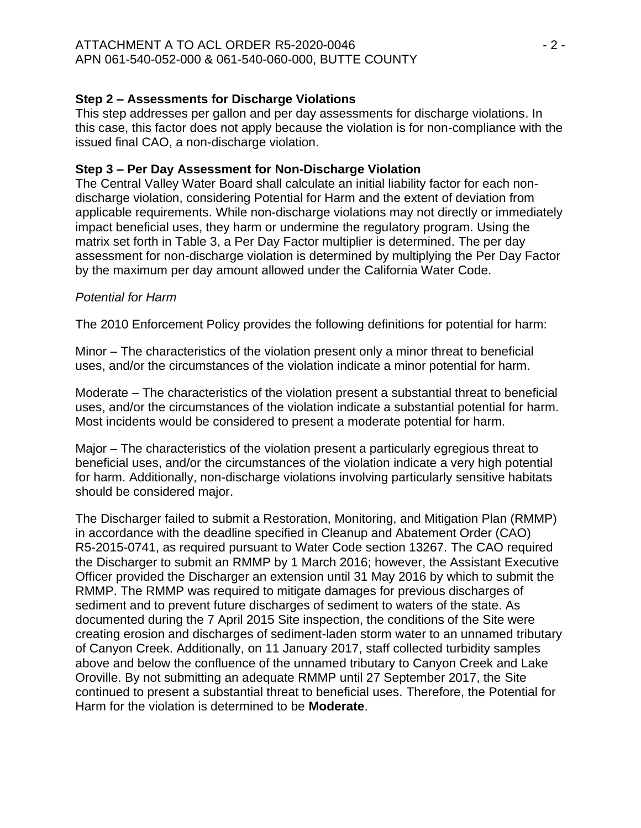# **Step 2 – Assessments for Discharge Violations**

This step addresses per gallon and per day assessments for discharge violations. In this case, this factor does not apply because the violation is for non-compliance with the issued final CAO, a non-discharge violation.

# **Step 3 – Per Day Assessment for Non-Discharge Violation**

The Central Valley Water Board shall calculate an initial liability factor for each nondischarge violation, considering Potential for Harm and the extent of deviation from applicable requirements. While non-discharge violations may not directly or immediately impact beneficial uses, they harm or undermine the regulatory program. Using the matrix set forth in Table 3, a Per Day Factor multiplier is determined. The per day assessment for non-discharge violation is determined by multiplying the Per Day Factor by the maximum per day amount allowed under the California Water Code.

## *Potential for Harm*

The 2010 Enforcement Policy provides the following definitions for potential for harm:

Minor – The characteristics of the violation present only a minor threat to beneficial uses, and/or the circumstances of the violation indicate a minor potential for harm.

Moderate – The characteristics of the violation present a substantial threat to beneficial uses, and/or the circumstances of the violation indicate a substantial potential for harm. Most incidents would be considered to present a moderate potential for harm.

Major – The characteristics of the violation present a particularly egregious threat to beneficial uses, and/or the circumstances of the violation indicate a very high potential for harm. Additionally, non-discharge violations involving particularly sensitive habitats should be considered major.

The Discharger failed to submit a Restoration, Monitoring, and Mitigation Plan (RMMP) in accordance with the deadline specified in Cleanup and Abatement Order (CAO) R5-2015-0741, as required pursuant to Water Code section 13267. The CAO required the Discharger to submit an RMMP by 1 March 2016; however, the Assistant Executive Officer provided the Discharger an extension until 31 May 2016 by which to submit the RMMP. The RMMP was required to mitigate damages for previous discharges of sediment and to prevent future discharges of sediment to waters of the state. As documented during the 7 April 2015 Site inspection, the conditions of the Site were creating erosion and discharges of sediment-laden storm water to an unnamed tributary of Canyon Creek. Additionally, on 11 January 2017, staff collected turbidity samples above and below the confluence of the unnamed tributary to Canyon Creek and Lake Oroville. By not submitting an adequate RMMP until 27 September 2017, the Site continued to present a substantial threat to beneficial uses. Therefore, the Potential for Harm for the violation is determined to be **Moderate**.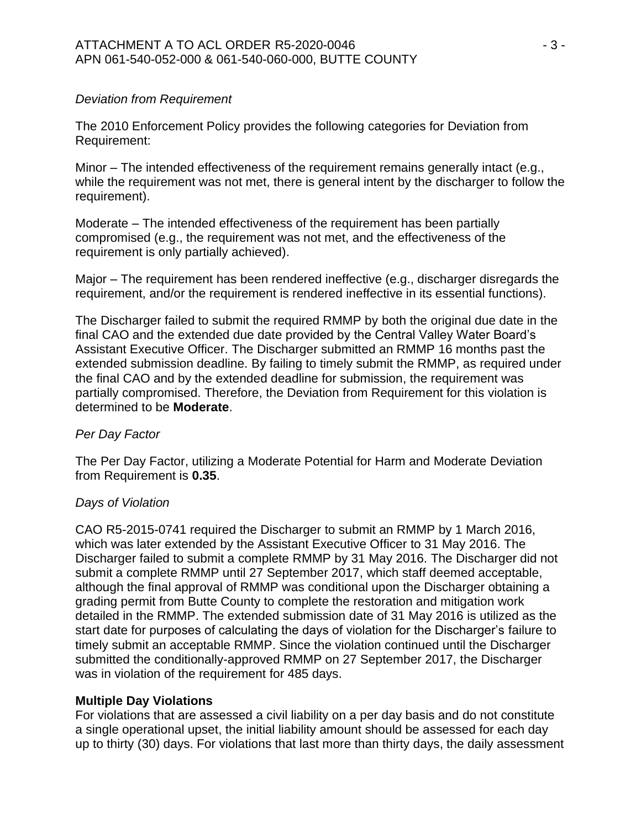## *Deviation from Requirement*

The 2010 Enforcement Policy provides the following categories for Deviation from Requirement:

Minor – The intended effectiveness of the requirement remains generally intact (e.g., while the requirement was not met, there is general intent by the discharger to follow the requirement).

Moderate – The intended effectiveness of the requirement has been partially compromised (e.g., the requirement was not met, and the effectiveness of the requirement is only partially achieved).

Major – The requirement has been rendered ineffective (e.g., discharger disregards the requirement, and/or the requirement is rendered ineffective in its essential functions).

The Discharger failed to submit the required RMMP by both the original due date in the final CAO and the extended due date provided by the Central Valley Water Board's Assistant Executive Officer. The Discharger submitted an RMMP 16 months past the extended submission deadline. By failing to timely submit the RMMP, as required under the final CAO and by the extended deadline for submission, the requirement was partially compromised. Therefore, the Deviation from Requirement for this violation is determined to be **Moderate**.

## *Per Day Factor*

The Per Day Factor, utilizing a Moderate Potential for Harm and Moderate Deviation from Requirement is **0.35**.

## *Days of Violation*

CAO R5-2015-0741 required the Discharger to submit an RMMP by 1 March 2016, which was later extended by the Assistant Executive Officer to 31 May 2016. The Discharger failed to submit a complete RMMP by 31 May 2016. The Discharger did not submit a complete RMMP until 27 September 2017, which staff deemed acceptable, although the final approval of RMMP was conditional upon the Discharger obtaining a grading permit from Butte County to complete the restoration and mitigation work detailed in the RMMP. The extended submission date of 31 May 2016 is utilized as the start date for purposes of calculating the days of violation for the Discharger's failure to timely submit an acceptable RMMP. Since the violation continued until the Discharger submitted the conditionally-approved RMMP on 27 September 2017, the Discharger was in violation of the requirement for 485 days.

# **Multiple Day Violations**

For violations that are assessed a civil liability on a per day basis and do not constitute a single operational upset, the initial liability amount should be assessed for each day up to thirty (30) days. For violations that last more than thirty days, the daily assessment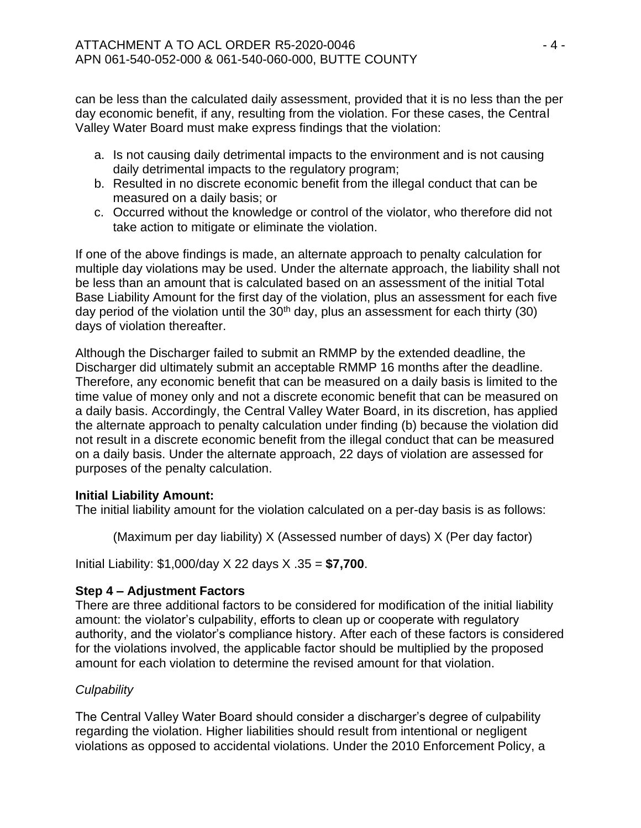can be less than the calculated daily assessment, provided that it is no less than the per day economic benefit, if any, resulting from the violation. For these cases, the Central Valley Water Board must make express findings that the violation:

- a. Is not causing daily detrimental impacts to the environment and is not causing daily detrimental impacts to the regulatory program;
- b. Resulted in no discrete economic benefit from the illegal conduct that can be measured on a daily basis; or
- c. Occurred without the knowledge or control of the violator, who therefore did not take action to mitigate or eliminate the violation.

If one of the above findings is made, an alternate approach to penalty calculation for multiple day violations may be used. Under the alternate approach, the liability shall not be less than an amount that is calculated based on an assessment of the initial Total Base Liability Amount for the first day of the violation, plus an assessment for each five day period of the violation until the  $30<sup>th</sup>$  day, plus an assessment for each thirty (30) days of violation thereafter.

Although the Discharger failed to submit an RMMP by the extended deadline, the Discharger did ultimately submit an acceptable RMMP 16 months after the deadline. Therefore, any economic benefit that can be measured on a daily basis is limited to the time value of money only and not a discrete economic benefit that can be measured on a daily basis. Accordingly, the Central Valley Water Board, in its discretion, has applied the alternate approach to penalty calculation under finding (b) because the violation did not result in a discrete economic benefit from the illegal conduct that can be measured on a daily basis. Under the alternate approach, 22 days of violation are assessed for purposes of the penalty calculation.

# **Initial Liability Amount:**

The initial liability amount for the violation calculated on a per-day basis is as follows:

(Maximum per day liability) X (Assessed number of days) X (Per day factor)

Initial Liability: \$1,000/day X 22 days X .35 = **\$7,700**.

# **Step 4 – Adjustment Factors**

There are three additional factors to be considered for modification of the initial liability amount: the violator's culpability, efforts to clean up or cooperate with regulatory authority, and the violator's compliance history. After each of these factors is considered for the violations involved, the applicable factor should be multiplied by the proposed amount for each violation to determine the revised amount for that violation.

# *Culpability*

The Central Valley Water Board should consider a discharger's degree of culpability regarding the violation. Higher liabilities should result from intentional or negligent violations as opposed to accidental violations. Under the 2010 Enforcement Policy, a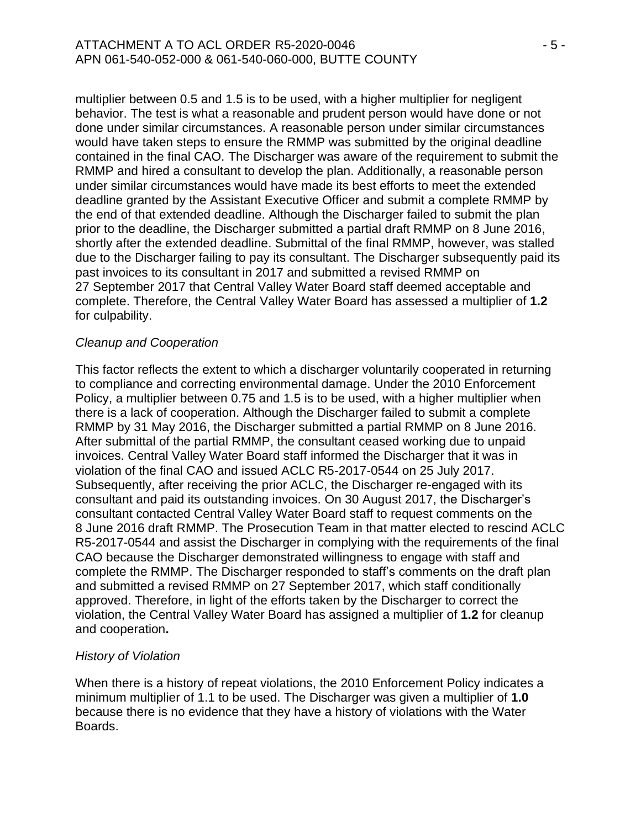#### ATTACHMENT A TO ACL ORDER R5-2020-0046 - 5 - 5 -APN 061-540-052-000 & 061-540-060-000, BUTTE COUNTY

multiplier between 0.5 and 1.5 is to be used, with a higher multiplier for negligent behavior. The test is what a reasonable and prudent person would have done or not done under similar circumstances. A reasonable person under similar circumstances would have taken steps to ensure the RMMP was submitted by the original deadline contained in the final CAO. The Discharger was aware of the requirement to submit the RMMP and hired a consultant to develop the plan. Additionally, a reasonable person under similar circumstances would have made its best efforts to meet the extended deadline granted by the Assistant Executive Officer and submit a complete RMMP by the end of that extended deadline. Although the Discharger failed to submit the plan prior to the deadline, the Discharger submitted a partial draft RMMP on 8 June 2016, shortly after the extended deadline. Submittal of the final RMMP, however, was stalled due to the Discharger failing to pay its consultant. The Discharger subsequently paid its past invoices to its consultant in 2017 and submitted a revised RMMP on 27 September 2017 that Central Valley Water Board staff deemed acceptable and complete. Therefore, the Central Valley Water Board has assessed a multiplier of **1.2** for culpability.

## *Cleanup and Cooperation*

This factor reflects the extent to which a discharger voluntarily cooperated in returning to compliance and correcting environmental damage. Under the 2010 Enforcement Policy, a multiplier between 0.75 and 1.5 is to be used, with a higher multiplier when there is a lack of cooperation. Although the Discharger failed to submit a complete RMMP by 31 May 2016, the Discharger submitted a partial RMMP on 8 June 2016. After submittal of the partial RMMP, the consultant ceased working due to unpaid invoices. Central Valley Water Board staff informed the Discharger that it was in violation of the final CAO and issued ACLC R5-2017-0544 on 25 July 2017. Subsequently, after receiving the prior ACLC, the Discharger re-engaged with its consultant and paid its outstanding invoices. On 30 August 2017, the Discharger's consultant contacted Central Valley Water Board staff to request comments on the 8 June 2016 draft RMMP. The Prosecution Team in that matter elected to rescind ACLC R5-2017-0544 and assist the Discharger in complying with the requirements of the final CAO because the Discharger demonstrated willingness to engage with staff and complete the RMMP. The Discharger responded to staff's comments on the draft plan and submitted a revised RMMP on 27 September 2017, which staff conditionally approved. Therefore, in light of the efforts taken by the Discharger to correct the violation, the Central Valley Water Board has assigned a multiplier of **1.2** for cleanup and cooperation**.**

## *History of Violation*

When there is a history of repeat violations, the 2010 Enforcement Policy indicates a minimum multiplier of 1.1 to be used. The Discharger was given a multiplier of **1.0**  because there is no evidence that they have a history of violations with the Water Boards.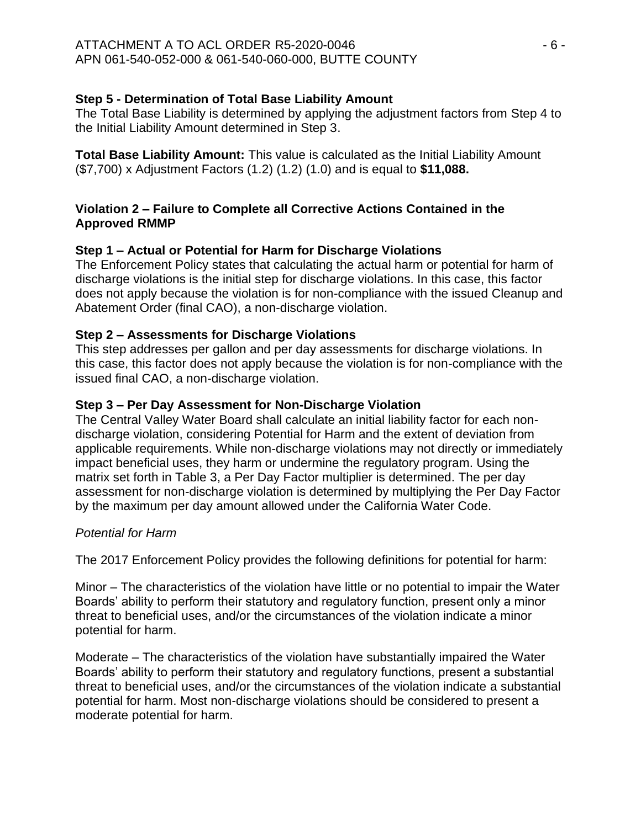# **Step 5 - Determination of Total Base Liability Amount**

The Total Base Liability is determined by applying the adjustment factors from Step 4 to the Initial Liability Amount determined in Step 3.

**Total Base Liability Amount:** This value is calculated as the Initial Liability Amount (\$7,700) x Adjustment Factors (1.2) (1.2) (1.0) and is equal to **\$11,088.**

# **Violation 2 – Failure to Complete all Corrective Actions Contained in the Approved RMMP**

# **Step 1 – Actual or Potential for Harm for Discharge Violations**

The Enforcement Policy states that calculating the actual harm or potential for harm of discharge violations is the initial step for discharge violations. In this case, this factor does not apply because the violation is for non-compliance with the issued Cleanup and Abatement Order (final CAO), a non-discharge violation.

## **Step 2 – Assessments for Discharge Violations**

This step addresses per gallon and per day assessments for discharge violations. In this case, this factor does not apply because the violation is for non-compliance with the issued final CAO, a non-discharge violation.

# **Step 3 – Per Day Assessment for Non-Discharge Violation**

The Central Valley Water Board shall calculate an initial liability factor for each nondischarge violation, considering Potential for Harm and the extent of deviation from applicable requirements. While non-discharge violations may not directly or immediately impact beneficial uses, they harm or undermine the regulatory program. Using the matrix set forth in Table 3, a Per Day Factor multiplier is determined. The per day assessment for non-discharge violation is determined by multiplying the Per Day Factor by the maximum per day amount allowed under the California Water Code.

## *Potential for Harm*

The 2017 Enforcement Policy provides the following definitions for potential for harm:

Minor – The characteristics of the violation have little or no potential to impair the Water Boards' ability to perform their statutory and regulatory function, present only a minor threat to beneficial uses, and/or the circumstances of the violation indicate a minor potential for harm.

Moderate – The characteristics of the violation have substantially impaired the Water Boards' ability to perform their statutory and regulatory functions, present a substantial threat to beneficial uses, and/or the circumstances of the violation indicate a substantial potential for harm. Most non-discharge violations should be considered to present a moderate potential for harm.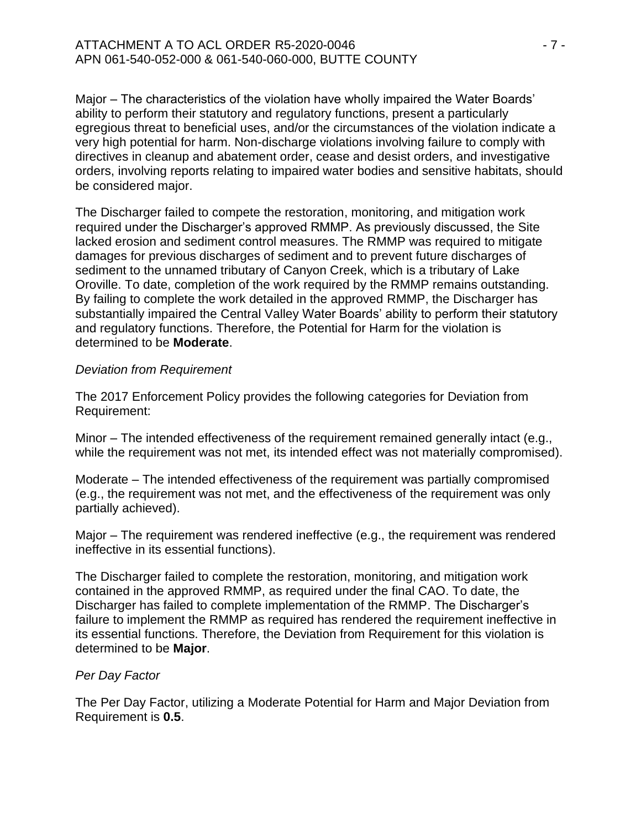#### ATTACHMENT A TO ACL ORDER R5-2020-0046 **FOR A SET ASSESS** - 7 -APN 061-540-052-000 & 061-540-060-000, BUTTE COUNTY

Major – The characteristics of the violation have wholly impaired the Water Boards' ability to perform their statutory and regulatory functions, present a particularly egregious threat to beneficial uses, and/or the circumstances of the violation indicate a very high potential for harm. Non-discharge violations involving failure to comply with directives in cleanup and abatement order, cease and desist orders, and investigative orders, involving reports relating to impaired water bodies and sensitive habitats, should be considered major.

The Discharger failed to compete the restoration, monitoring, and mitigation work required under the Discharger's approved RMMP. As previously discussed, the Site lacked erosion and sediment control measures. The RMMP was required to mitigate damages for previous discharges of sediment and to prevent future discharges of sediment to the unnamed tributary of Canyon Creek, which is a tributary of Lake Oroville. To date, completion of the work required by the RMMP remains outstanding. By failing to complete the work detailed in the approved RMMP, the Discharger has substantially impaired the Central Valley Water Boards' ability to perform their statutory and regulatory functions. Therefore, the Potential for Harm for the violation is determined to be **Moderate**.

#### *Deviation from Requirement*

The 2017 Enforcement Policy provides the following categories for Deviation from Requirement:

Minor – The intended effectiveness of the requirement remained generally intact (e.g., while the requirement was not met, its intended effect was not materially compromised).

Moderate – The intended effectiveness of the requirement was partially compromised (e.g., the requirement was not met, and the effectiveness of the requirement was only partially achieved).

Major – The requirement was rendered ineffective (e.g., the requirement was rendered ineffective in its essential functions).

The Discharger failed to complete the restoration, monitoring, and mitigation work contained in the approved RMMP, as required under the final CAO. To date, the Discharger has failed to complete implementation of the RMMP. The Discharger's failure to implement the RMMP as required has rendered the requirement ineffective in its essential functions. Therefore, the Deviation from Requirement for this violation is determined to be **Major**.

## *Per Day Factor*

The Per Day Factor, utilizing a Moderate Potential for Harm and Major Deviation from Requirement is **0.5**.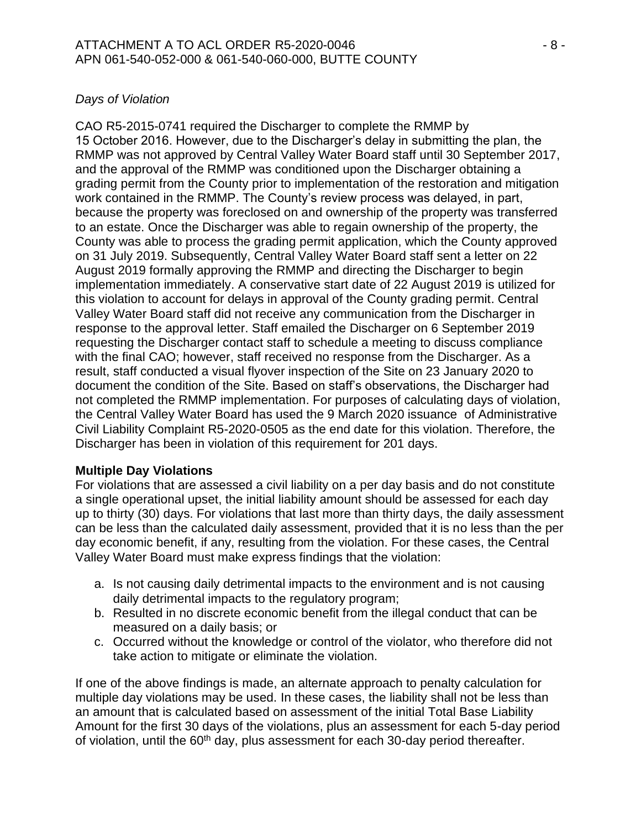#### ATTACHMENT A TO ACL ORDER R5-2020-0046 **ATTACHMENT A TO ACL** APN 061-540-052-000 & 061-540-060-000, BUTTE COUNTY

# *Days of Violation*

CAO R5-2015-0741 required the Discharger to complete the RMMP by 15 October 2016. However, due to the Discharger's delay in submitting the plan, the RMMP was not approved by Central Valley Water Board staff until 30 September 2017, and the approval of the RMMP was conditioned upon the Discharger obtaining a grading permit from the County prior to implementation of the restoration and mitigation work contained in the RMMP. The County's review process was delayed, in part, because the property was foreclosed on and ownership of the property was transferred to an estate. Once the Discharger was able to regain ownership of the property, the County was able to process the grading permit application, which the County approved on 31 July 2019. Subsequently, Central Valley Water Board staff sent a letter on 22 August 2019 formally approving the RMMP and directing the Discharger to begin implementation immediately. A conservative start date of 22 August 2019 is utilized for this violation to account for delays in approval of the County grading permit. Central Valley Water Board staff did not receive any communication from the Discharger in response to the approval letter. Staff emailed the Discharger on 6 September 2019 requesting the Discharger contact staff to schedule a meeting to discuss compliance with the final CAO; however, staff received no response from the Discharger. As a result, staff conducted a visual flyover inspection of the Site on 23 January 2020 to document the condition of the Site. Based on staff's observations, the Discharger had not completed the RMMP implementation. For purposes of calculating days of violation, the Central Valley Water Board has used the 9 March 2020 issuance of Administrative Civil Liability Complaint R5-2020-0505 as the end date for this violation. Therefore, the Discharger has been in violation of this requirement for 201 days.

## **Multiple Day Violations**

For violations that are assessed a civil liability on a per day basis and do not constitute a single operational upset, the initial liability amount should be assessed for each day up to thirty (30) days. For violations that last more than thirty days, the daily assessment can be less than the calculated daily assessment, provided that it is no less than the per day economic benefit, if any, resulting from the violation. For these cases, the Central Valley Water Board must make express findings that the violation:

- a. Is not causing daily detrimental impacts to the environment and is not causing daily detrimental impacts to the regulatory program;
- b. Resulted in no discrete economic benefit from the illegal conduct that can be measured on a daily basis; or
- c. Occurred without the knowledge or control of the violator, who therefore did not take action to mitigate or eliminate the violation.

If one of the above findings is made, an alternate approach to penalty calculation for multiple day violations may be used. In these cases, the liability shall not be less than an amount that is calculated based on assessment of the initial Total Base Liability Amount for the first 30 days of the violations, plus an assessment for each 5-day period of violation, until the  $60<sup>th</sup>$  day, plus assessment for each 30-day period thereafter.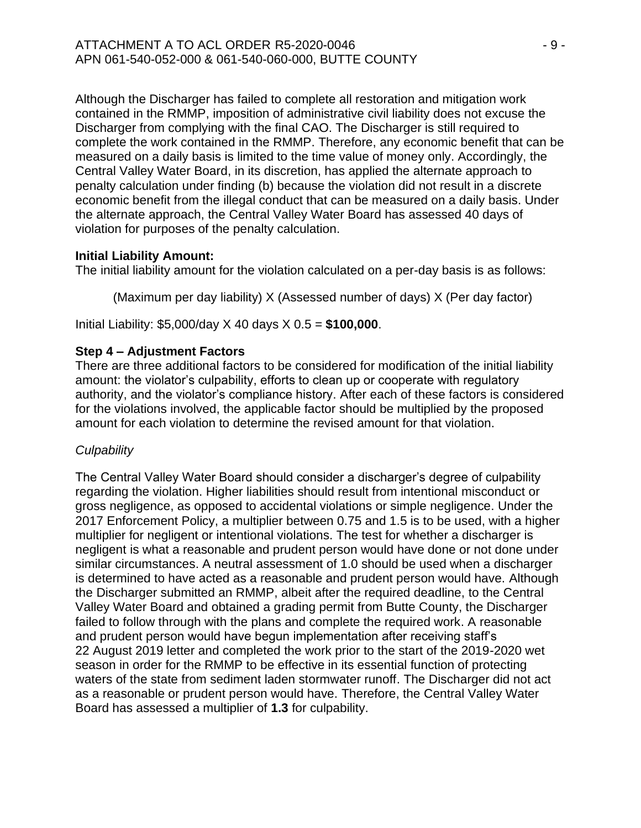Although the Discharger has failed to complete all restoration and mitigation work contained in the RMMP, imposition of administrative civil liability does not excuse the Discharger from complying with the final CAO. The Discharger is still required to complete the work contained in the RMMP. Therefore, any economic benefit that can be measured on a daily basis is limited to the time value of money only. Accordingly, the Central Valley Water Board, in its discretion, has applied the alternate approach to penalty calculation under finding (b) because the violation did not result in a discrete economic benefit from the illegal conduct that can be measured on a daily basis. Under the alternate approach, the Central Valley Water Board has assessed 40 days of violation for purposes of the penalty calculation.

# **Initial Liability Amount:**

The initial liability amount for the violation calculated on a per-day basis is as follows:

(Maximum per day liability) X (Assessed number of days) X (Per day factor)

Initial Liability: \$5,000/day X 40 days X 0.5 = **\$100,000**.

# **Step 4 – Adjustment Factors**

There are three additional factors to be considered for modification of the initial liability amount: the violator's culpability, efforts to clean up or cooperate with regulatory authority, and the violator's compliance history. After each of these factors is considered for the violations involved, the applicable factor should be multiplied by the proposed amount for each violation to determine the revised amount for that violation.

# *Culpability*

The Central Valley Water Board should consider a discharger's degree of culpability regarding the violation. Higher liabilities should result from intentional misconduct or gross negligence, as opposed to accidental violations or simple negligence. Under the 2017 Enforcement Policy, a multiplier between 0.75 and 1.5 is to be used, with a higher multiplier for negligent or intentional violations. The test for whether a discharger is negligent is what a reasonable and prudent person would have done or not done under similar circumstances. A neutral assessment of 1.0 should be used when a discharger is determined to have acted as a reasonable and prudent person would have. Although the Discharger submitted an RMMP, albeit after the required deadline, to the Central Valley Water Board and obtained a grading permit from Butte County, the Discharger failed to follow through with the plans and complete the required work. A reasonable and prudent person would have begun implementation after receiving staff's 22 August 2019 letter and completed the work prior to the start of the 2019-2020 wet season in order for the RMMP to be effective in its essential function of protecting waters of the state from sediment laden stormwater runoff. The Discharger did not act as a reasonable or prudent person would have. Therefore, the Central Valley Water Board has assessed a multiplier of **1.3** for culpability.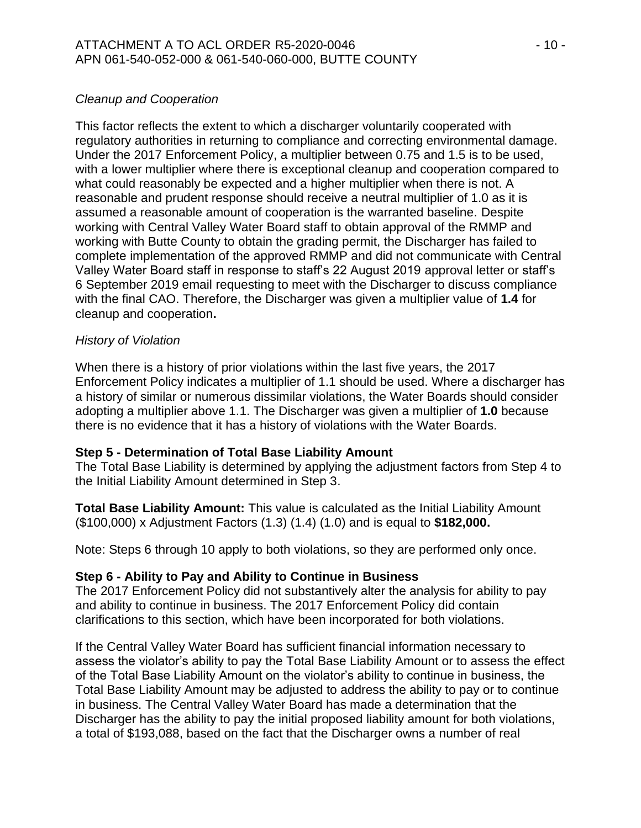# *Cleanup and Cooperation*

This factor reflects the extent to which a discharger voluntarily cooperated with regulatory authorities in returning to compliance and correcting environmental damage. Under the 2017 Enforcement Policy, a multiplier between 0.75 and 1.5 is to be used, with a lower multiplier where there is exceptional cleanup and cooperation compared to what could reasonably be expected and a higher multiplier when there is not. A reasonable and prudent response should receive a neutral multiplier of 1.0 as it is assumed a reasonable amount of cooperation is the warranted baseline. Despite working with Central Valley Water Board staff to obtain approval of the RMMP and working with Butte County to obtain the grading permit, the Discharger has failed to complete implementation of the approved RMMP and did not communicate with Central Valley Water Board staff in response to staff's 22 August 2019 approval letter or staff's 6 September 2019 email requesting to meet with the Discharger to discuss compliance with the final CAO. Therefore, the Discharger was given a multiplier value of **1.4** for cleanup and cooperation**.**

## *History of Violation*

When there is a history of prior violations within the last five years, the 2017 Enforcement Policy indicates a multiplier of 1.1 should be used. Where a discharger has a history of similar or numerous dissimilar violations, the Water Boards should consider adopting a multiplier above 1.1. The Discharger was given a multiplier of **1.0** because there is no evidence that it has a history of violations with the Water Boards.

## **Step 5 - Determination of Total Base Liability Amount**

The Total Base Liability is determined by applying the adjustment factors from Step 4 to the Initial Liability Amount determined in Step 3.

**Total Base Liability Amount:** This value is calculated as the Initial Liability Amount (\$100,000) x Adjustment Factors (1.3) (1.4) (1.0) and is equal to **\$182,000.**

Note: Steps 6 through 10 apply to both violations, so they are performed only once.

## **Step 6 - Ability to Pay and Ability to Continue in Business**

The 2017 Enforcement Policy did not substantively alter the analysis for ability to pay and ability to continue in business. The 2017 Enforcement Policy did contain clarifications to this section, which have been incorporated for both violations.

If the Central Valley Water Board has sufficient financial information necessary to assess the violator's ability to pay the Total Base Liability Amount or to assess the effect of the Total Base Liability Amount on the violator's ability to continue in business, the Total Base Liability Amount may be adjusted to address the ability to pay or to continue in business. The Central Valley Water Board has made a determination that the Discharger has the ability to pay the initial proposed liability amount for both violations, a total of \$193,088, based on the fact that the Discharger owns a number of real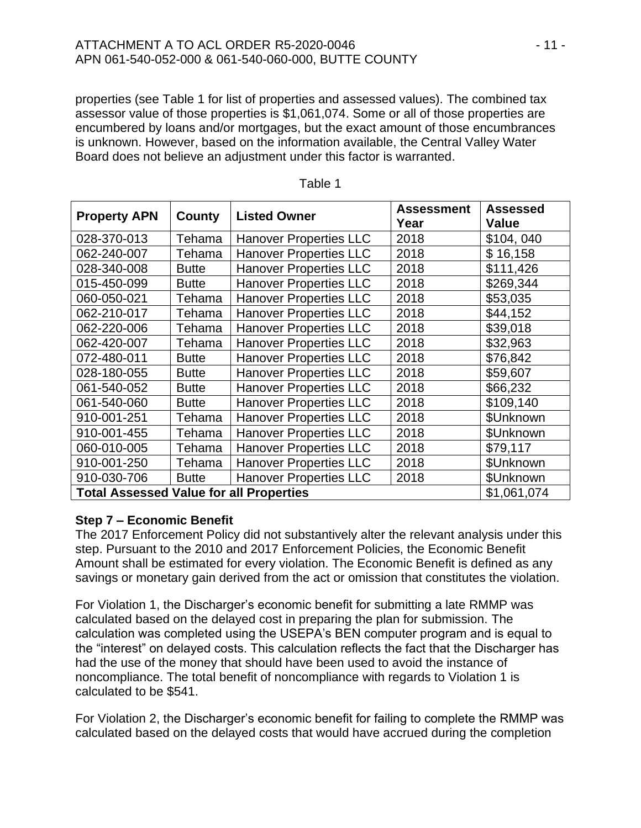## ATTACHMENT A TO ACL ORDER R5-2020-0046 - 11 - APN 061-540-052-000 & 061-540-060-000, BUTTE COUNTY

properties (see Table 1 for list of properties and assessed values). The combined tax assessor value of those properties is \$1,061,074. Some or all of those properties are encumbered by loans and/or mortgages, but the exact amount of those encumbrances is unknown. However, based on the information available, the Central Valley Water Board does not believe an adjustment under this factor is warranted.

| <b>Property APN</b>                            | County       | <b>Listed Owner</b>           | <b>Assessment</b><br>Year | <b>Assessed</b><br><b>Value</b> |
|------------------------------------------------|--------------|-------------------------------|---------------------------|---------------------------------|
| 028-370-013                                    | Tehama       | <b>Hanover Properties LLC</b> | 2018                      | \$104,040                       |
| 062-240-007                                    | Tehama       | <b>Hanover Properties LLC</b> | 2018                      | \$16,158                        |
| 028-340-008                                    | <b>Butte</b> | <b>Hanover Properties LLC</b> | 2018                      | \$111,426                       |
| 015-450-099                                    | <b>Butte</b> | <b>Hanover Properties LLC</b> | 2018                      | \$269,344                       |
| 060-050-021                                    | Tehama       | <b>Hanover Properties LLC</b> | 2018                      | \$53,035                        |
| 062-210-017                                    | Tehama       | <b>Hanover Properties LLC</b> | 2018                      | \$44,152                        |
| 062-220-006                                    | Tehama       | <b>Hanover Properties LLC</b> | 2018                      | \$39,018                        |
| 062-420-007                                    | Tehama       | <b>Hanover Properties LLC</b> | 2018                      | \$32,963                        |
| 072-480-011                                    | <b>Butte</b> | <b>Hanover Properties LLC</b> | 2018                      | \$76,842                        |
| 028-180-055                                    | <b>Butte</b> | <b>Hanover Properties LLC</b> | 2018                      | \$59,607                        |
| 061-540-052                                    | <b>Butte</b> | <b>Hanover Properties LLC</b> | 2018                      | \$66,232                        |
| 061-540-060                                    | <b>Butte</b> | <b>Hanover Properties LLC</b> | 2018                      | \$109,140                       |
| 910-001-251                                    | Tehama       | <b>Hanover Properties LLC</b> | 2018                      | \$Unknown                       |
| 910-001-455                                    | Tehama       | <b>Hanover Properties LLC</b> | 2018                      | \$Unknown                       |
| 060-010-005                                    | Tehama       | <b>Hanover Properties LLC</b> | 2018                      | \$79,117                        |
| 910-001-250                                    | Tehama       | <b>Hanover Properties LLC</b> | 2018                      | \$Unknown                       |
| 910-030-706                                    | <b>Butte</b> | <b>Hanover Properties LLC</b> | 2018                      | \$Unknown                       |
| <b>Total Assessed Value for all Properties</b> |              |                               |                           | \$1,061,074                     |

| able |  |
|------|--|
|------|--|

## **Step 7 – Economic Benefit**

The 2017 Enforcement Policy did not substantively alter the relevant analysis under this step. Pursuant to the 2010 and 2017 Enforcement Policies, the Economic Benefit Amount shall be estimated for every violation. The Economic Benefit is defined as any savings or monetary gain derived from the act or omission that constitutes the violation.

For Violation 1, the Discharger's economic benefit for submitting a late RMMP was calculated based on the delayed cost in preparing the plan for submission. The calculation was completed using the USEPA's BEN computer program and is equal to the "interest" on delayed costs. This calculation reflects the fact that the Discharger has had the use of the money that should have been used to avoid the instance of noncompliance. The total benefit of noncompliance with regards to Violation 1 is calculated to be \$541.

For Violation 2, the Discharger's economic benefit for failing to complete the RMMP was calculated based on the delayed costs that would have accrued during the completion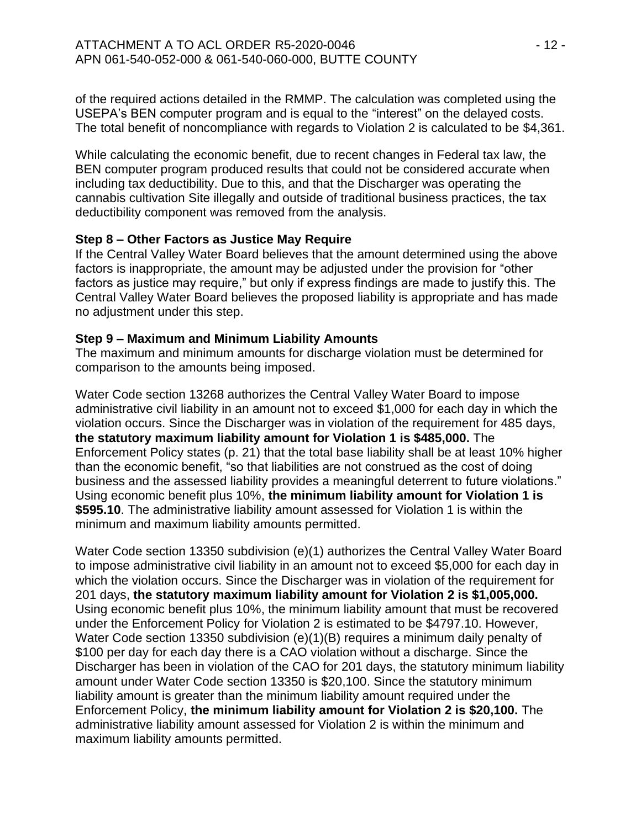of the required actions detailed in the RMMP. The calculation was completed using the USEPA's BEN computer program and is equal to the "interest" on the delayed costs. The total benefit of noncompliance with regards to Violation 2 is calculated to be \$4,361.

While calculating the economic benefit, due to recent changes in Federal tax law, the BEN computer program produced results that could not be considered accurate when including tax deductibility. Due to this, and that the Discharger was operating the cannabis cultivation Site illegally and outside of traditional business practices, the tax deductibility component was removed from the analysis.

# **Step 8 – Other Factors as Justice May Require**

If the Central Valley Water Board believes that the amount determined using the above factors is inappropriate, the amount may be adjusted under the provision for "other factors as justice may require," but only if express findings are made to justify this. The Central Valley Water Board believes the proposed liability is appropriate and has made no adjustment under this step.

## **Step 9 – Maximum and Minimum Liability Amounts**

The maximum and minimum amounts for discharge violation must be determined for comparison to the amounts being imposed.

Water Code section 13268 authorizes the Central Valley Water Board to impose administrative civil liability in an amount not to exceed \$1,000 for each day in which the violation occurs. Since the Discharger was in violation of the requirement for 485 days, **the statutory maximum liability amount for Violation 1 is \$485,000.** The Enforcement Policy states (p. 21) that the total base liability shall be at least 10% higher than the economic benefit, "so that liabilities are not construed as the cost of doing business and the assessed liability provides a meaningful deterrent to future violations." Using economic benefit plus 10%, **the minimum liability amount for Violation 1 is \$595.10**. The administrative liability amount assessed for Violation 1 is within the minimum and maximum liability amounts permitted.

Water Code section 13350 subdivision (e)(1) authorizes the Central Valley Water Board to impose administrative civil liability in an amount not to exceed \$5,000 for each day in which the violation occurs. Since the Discharger was in violation of the requirement for 201 days, **the statutory maximum liability amount for Violation 2 is \$1,005,000.** Using economic benefit plus 10%, the minimum liability amount that must be recovered under the Enforcement Policy for Violation 2 is estimated to be \$4797.10. However, Water Code section 13350 subdivision (e)(1)(B) requires a minimum daily penalty of \$100 per day for each day there is a CAO violation without a discharge. Since the Discharger has been in violation of the CAO for 201 days, the statutory minimum liability amount under Water Code section 13350 is \$20,100. Since the statutory minimum liability amount is greater than the minimum liability amount required under the Enforcement Policy, **the minimum liability amount for Violation 2 is \$20,100.** The administrative liability amount assessed for Violation 2 is within the minimum and maximum liability amounts permitted.